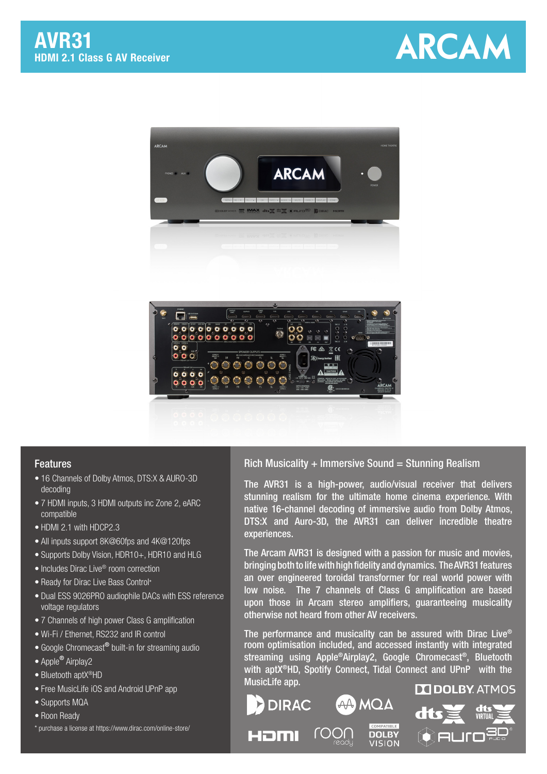



## Features

- 16 Channels of Dolby Atmos, DTS:X & AURO-3D decoding
- 7 HDMI inputs, 3 HDMI outputs inc Zone 2, eARC compatible
- HDMI 2.1 with HDCP2.3
- All inputs support 8K@60fps and 4K@120fps
- Supports Dolby Vision, HDR10+, HDR10 and HLG
- Includes Dirac Live® room correction
- Ready for Dirac Live Bass Control\*
- Dual ESS 9026PRO audiophile DACs with ESS reference voltage regulators
- 7 Channels of high power Class G amplification
- Wi-Fi / Ethernet, RS232 and IR control
- Google Chromecast<sup>®</sup> built-in for streaming audio
- Apple<sup>®</sup> Airplay2
- Bluetooth aptX<sup>®</sup>HD
- Free MusicLife iOS and Android UPnP app
- Supports MQA
- Roon Ready
- \* purchase a license at https://www.dirac.com/online-store/

## Rich Musicality  $+$  Immersive Sound = Stunning Realism

The AVR31 is a high-power, audio/visual receiver that delivers stunning realism for the ultimate home cinema experience. With native 16-channel decoding of immersive audio from Dolby Atmos, DTS:X and Auro-3D, the AVR31 can deliver incredible theatre experiences.

The Arcam AVR31 is designed with a passion for music and movies, bringing both to life with high fidelity and dynamics. The AVR31 features an over engineered toroidal transformer for real world power with low noise. The 7 channels of Class G amplification are based upon those in Arcam stereo amplifiers, guaranteeing musicality otherwise not heard from other AV receivers.

The performance and musicality can be assured with Dirac Live® room optimisation included, and accessed instantly with integrated streaming using Apple®Airplay2, Google Chromecast®, Bluetooth with aptX®HD, Spotify Connect, Tidal Connect and UPnP with the MusicLife app.

COMPATIBLE

**DOLBY** 

**VISION** 

AA) MOA

roor

**DIRAC** 

Həml